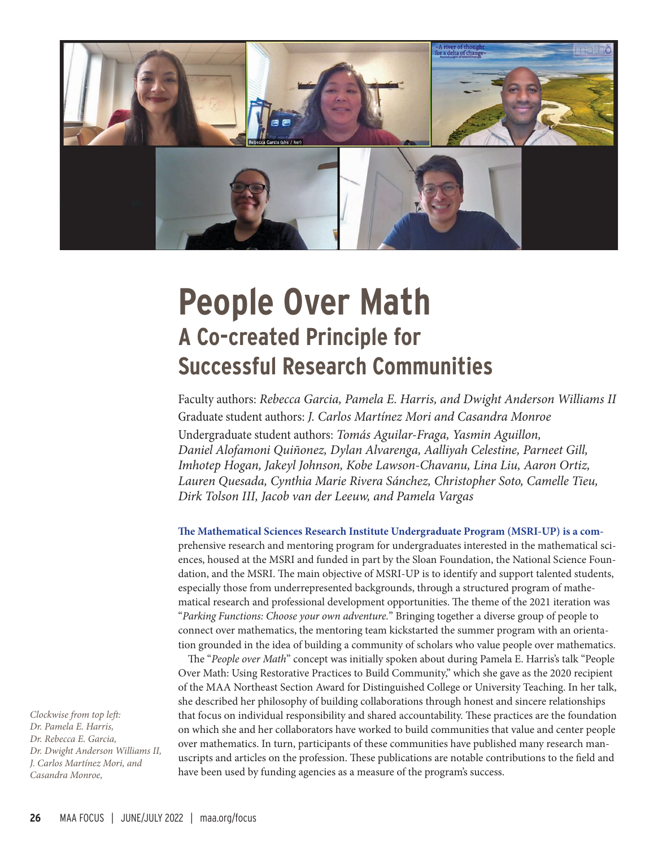

# **People Over Math A Co-created Principle for Successful Research Communities**

Faculty authors: Rebecca Garcia, Pamela E. Harris, and Dwight Anderson Williams II Graduate student authors: J. Carlos Martínez Mori and Casandra Monroe Undergraduate student authors: Tomás Aguilar-Fraga, Yasmin Aguillon, Daniel Alofamoni Quiñonez, Dylan Alvarenga, Aalliyah Celestine, Parneet Gill, Imhotep Hogan, Jakeyl Johnson, Kobe Lawson-Chavanu, Lina Liu, Aaron Ortiz, Lauren Quesada, Cynthia Marie Rivera Sánchez, Christopher Soto, Camelle Tieu, Dirk Tolson III, Jacob van der Leeuw, and Pamela Vargas

**The Mathematical Sciences Research Institute Undergraduate Program (MSRI-UP) is a com**prehensive research and mentoring program for undergraduates interested in the mathematical sciences, housed at the MSRI and funded in part by the Sloan Foundation, the National Science Foundation, and the MSRI. The main objective of MSRI-UP is to identify and support talented students, especially those from underrepresented backgrounds, through a structured program of mathematical research and professional development opportunities. The theme of the 2021 iteration was "Parking Functions: Choose your own adventure." Bringing together a diverse group of people to connect over mathematics, the mentoring team kickstarted the summer program with an orientation grounded in the idea of building a community of scholars who value people over mathematics.

The "People over Math" concept was initially spoken about during Pamela E. Harris's talk "People Over Math: Using Restorative Practices to Build Community," which she gave as the 2020 recipient of the MAA Northeast Section Award for Distinguished College or University Teaching. In her talk, she described her philosophy of building collaborations through honest and sincere relationships that focus on individual responsibility and shared accountability. These practices are the foundation on which she and her collaborators have worked to build communities that value and center people over mathematics. In turn, participants of these communities have published many research manuscripts and articles on the profession. These publications are notable contributions to the field and have been used by funding agencies as a measure of the program's success.

Clockwise from top left: Dr. Pamela E. Harris, Dr. Rebecca E. Garcia, Dr. Dwight Anderson Williams II, J. Carlos Martínez Mori, and Casandra Monroe,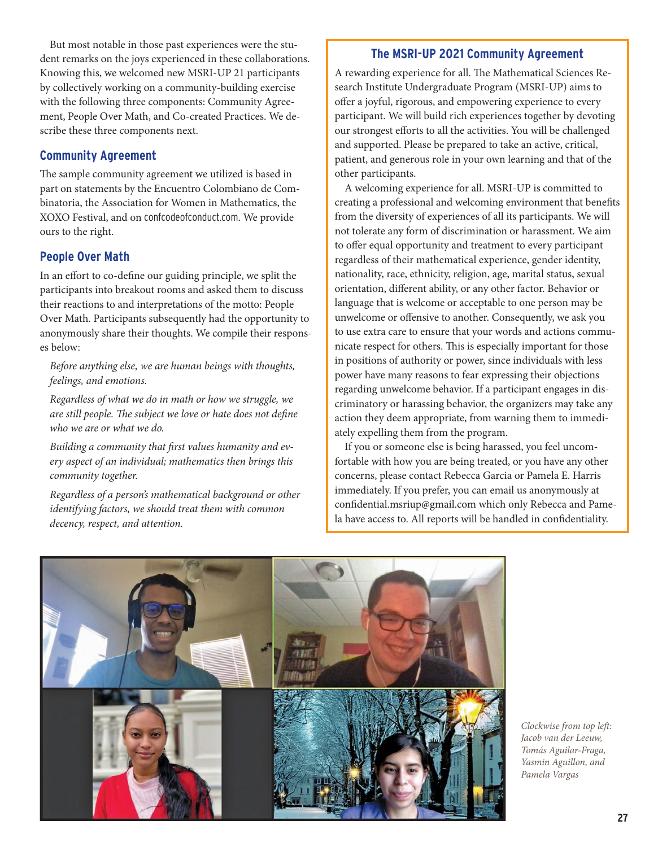But most notable in those past experiences were the student remarks on the joys experienced in these collaborations. Knowing this, we welcomed new MSRI-UP 21 participants by collectively working on a community-building exercise with the following three components: Community Agreement, People Over Math, and Co-created Practices. We describe these three components next.

### **Community Agreement**

The sample community agreement we utilized is based in part on statements by the Encuentro Colombiano de Combinatoria, the Association for Women in Mathematics, the XOXO Festival, and on confcodeofconduct.com. We provide ours to the right.

## **People Over Math**

In an effort to co-define our guiding principle, we split the participants into breakout rooms and asked them to discuss their reactions to and interpretations of the motto: People Over Math. Participants subsequently had the opportunity to anonymously share their thoughts. We compile their responses below:

Before anything else, we are human beings with thoughts, feelings, and emotions.

Regardless of what we do in math or how we struggle, we are still people. The subject we love or hate does not define who we are or what we do.

Building a community that first values humanity and every aspect of an individual; mathematics then brings this community together.

Regardless of a person's mathematical background or other identifying factors, we should treat them with common decency, respect, and attention.

# **The MSRI-UP 2021 Community Agreement**

A rewarding experience for all. The Mathematical Sciences Research Institute Undergraduate Program (MSRI-UP) aims to offer a joyful, rigorous, and empowering experience to every participant. We will build rich experiences together by devoting our strongest efforts to all the activities. You will be challenged and supported. Please be prepared to take an active, critical, patient, and generous role in your own learning and that of the other participants.

A welcoming experience for all. MSRI-UP is committed to creating a professional and welcoming environment that benefits from the diversity of experiences of all its participants. We will not tolerate any form of discrimination or harassment. We aim to offer equal opportunity and treatment to every participant regardless of their mathematical experience, gender identity, nationality, race, ethnicity, religion, age, marital status, sexual orientation, different ability, or any other factor. Behavior or language that is welcome or acceptable to one person may be unwelcome or offensive to another. Consequently, we ask you to use extra care to ensure that your words and actions communicate respect for others. This is especially important for those in positions of authority or power, since individuals with less power have many reasons to fear expressing their objections regarding unwelcome behavior. If a participant engages in discriminatory or harassing behavior, the organizers may take any action they deem appropriate, from warning them to immediately expelling them from the program.

If you or someone else is being harassed, you feel uncomfortable with how you are being treated, or you have any other concerns, please contact Rebecca Garcia or Pamela E. Harris immediately. If you prefer, you can email us anonymously at confidential.msriup@gmail.com which only Rebecca and Pamela have access to. All reports will be handled in confidentiality.



Clockwise from top left: Jacob van der Leeuw, Tomás Aguilar-Fraga, Yasmin Aguillon, and Pamela Vargas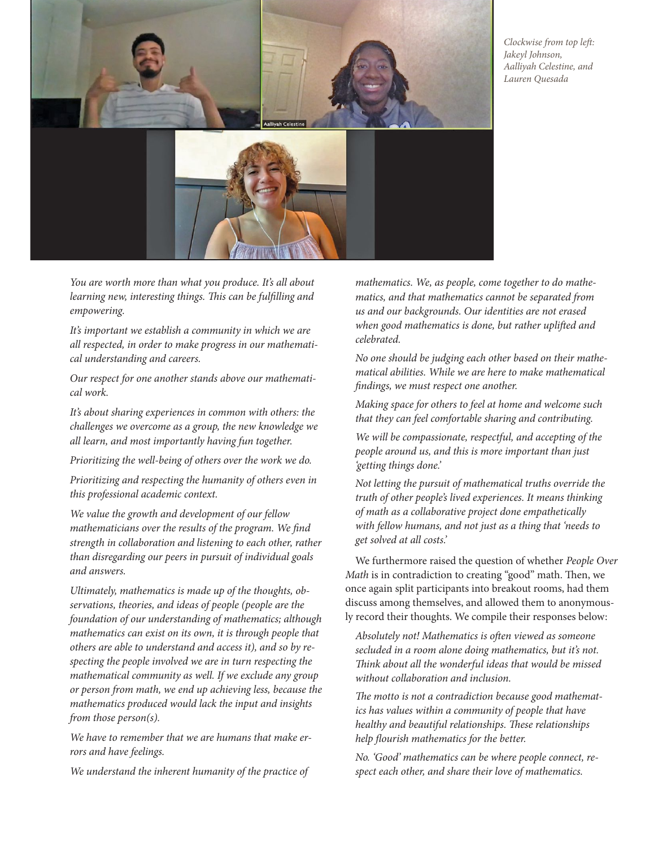

Clockwise from top left: Jakeyl Johnson, Aalliyah Celestine, and Lauren Quesada

You are worth more than what you produce. It's all about learning new, interesting things. This can be fulfilling and empowering.

It's important we establish a community in which we are all respected, in order to make progress in our mathematical understanding and careers.

Our respect for one another stands above our mathematical work.

It's about sharing experiences in common with others: the challenges we overcome as a group, the new knowledge we all learn, and most importantly having fun together.

Prioritizing the well-being of others over the work we do.

Prioritizing and respecting the humanity of others even in this professional academic context.

We value the growth and development of our fellow mathematicians over the results of the program. We find strength in collaboration and listening to each other, rather than disregarding our peers in pursuit of individual goals and answers.

Ultimately, mathematics is made up of the thoughts, observations, theories, and ideas of people (people are the foundation of our understanding of mathematics; although mathematics can exist on its own, it is through people that others are able to understand and access it), and so by respecting the people involved we are in turn respecting the mathematical community as well. If we exclude any group or person from math, we end up achieving less, because the mathematics produced would lack the input and insights from those person(s).

We have to remember that we are humans that make errors and have feelings.

We understand the inherent humanity of the practice of

mathematics. We, as people, come together to do mathematics, and that mathematics cannot be separated from us and our backgrounds. Our identities are not erased when good mathematics is done, but rather uplifted and celebrated.

No one should be judging each other based on their mathematical abilities. While we are here to make mathematical findings, we must respect one another.

Making space for others to feel at home and welcome such that they can feel comfortable sharing and contributing.

We will be compassionate, respectful, and accepting of the people around us, and this is more important than just 'getting things done.'

Not letting the pursuit of mathematical truths override the truth of other people's lived experiences. It means thinking of math as a collaborative project done empathetically with fellow humans, and not just as a thing that 'needs to get solved at all costs.'

We furthermore raised the question of whether People Over Math is in contradiction to creating "good" math. Then, we once again split participants into breakout rooms, had them discuss among themselves, and allowed them to anonymously record their thoughts. We compile their responses below:

Absolutely not! Mathematics is often viewed as someone secluded in a room alone doing mathematics, but it's not. Think about all the wonderful ideas that would be missed without collaboration and inclusion.

The motto is not a contradiction because good mathematics has values within a community of people that have healthy and beautiful relationships. These relationships help flourish mathematics for the better.

No. 'Good' mathematics can be where people connect, respect each other, and share their love of mathematics.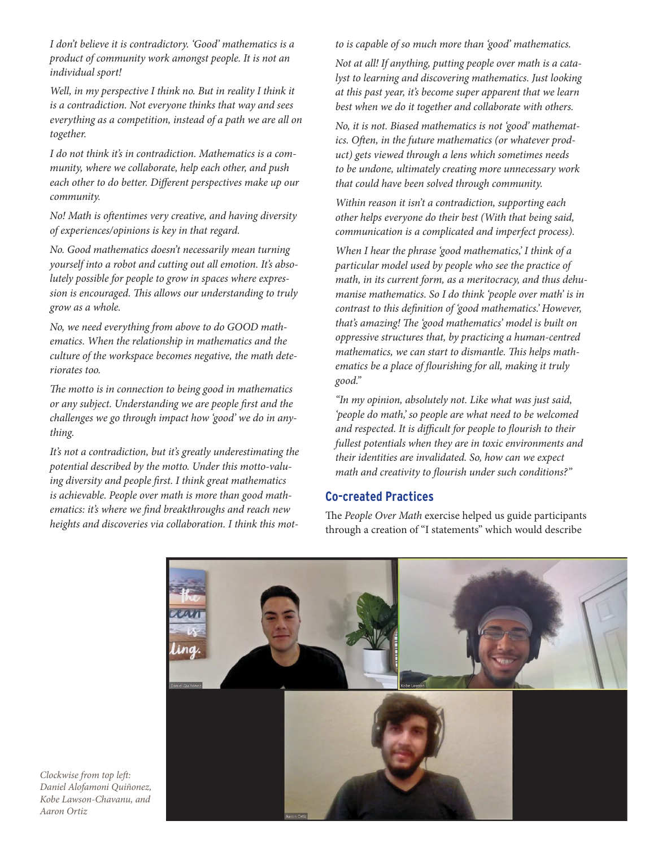I don't believe it is contradictory. 'Good' mathematics is a product of community work amongst people. It is not an individual sport!

Well, in my perspective I think no. But in reality I think it is a contradiction. Not everyone thinks that way and sees everything as a competition, instead of a path we are all on together.

I do not think it's in contradiction. Mathematics is a community, where we collaborate, help each other, and push each other to do better. Different perspectives make up our community.

No! Math is oftentimes very creative, and having diversity of experiences/opinions is key in that regard.

No. Good mathematics doesn't necessarily mean turning yourself into a robot and cutting out all emotion. It's absolutely possible for people to grow in spaces where expression is encouraged. This allows our understanding to truly grow as a whole.

No, we need everything from above to do GOOD mathematics. When the relationship in mathematics and the culture of the workspace becomes negative, the math deteriorates too.

The motto is in connection to being good in mathematics or any subject. Understanding we are people first and the challenges we go through impact how 'good' we do in anything.

It's not a contradiction, but it's greatly underestimating the potential described by the motto. Under this motto-valuing diversity and people first. I think great mathematics is achievable. People over math is more than good mathematics: it's where we find breakthroughs and reach new heights and discoveries via collaboration. I think this motto is capable of so much more than 'good' mathematics.

Not at all! If anything, putting people over math is a catalyst to learning and discovering mathematics. Just looking at this past year, it's become super apparent that we learn best when we do it together and collaborate with others.

No, it is not. Biased mathematics is not 'good' mathematics. Often, in the future mathematics (or whatever product) gets viewed through a lens which sometimes needs to be undone, ultimately creating more unnecessary work that could have been solved through community.

Within reason it isn't a contradiction, supporting each other helps everyone do their best (With that being said, communication is a complicated and imperfect process).

When I hear the phrase 'good mathematics,' I think of a particular model used by people who see the practice of math, in its current form, as a meritocracy, and thus dehumanise mathematics. So I do think 'people over math' is in contrast to this definition of 'good mathematics.' However, that's amazing! The 'good mathematics' model is built on oppressive structures that, by practicing a human-centred mathematics, we can start to dismantle. This helps mathematics be a place of flourishing for all, making it truly good."

"In my opinion, absolutely not. Like what was just said, 'people do math,' so people are what need to be welcomed and respected. It is difficult for people to flourish to their fullest potentials when they are in toxic environments and their identities are invalidated. So, how can we expect math and creativity to flourish under such conditions?"

#### **Co-created Practices**

The People Over Math exercise helped us guide participants through a creation of "I statements'' which would describe



Clockwise from top left: Daniel Alofamoni Quiñonez, Kobe Lawson-Chavanu, and Aaron Ortiz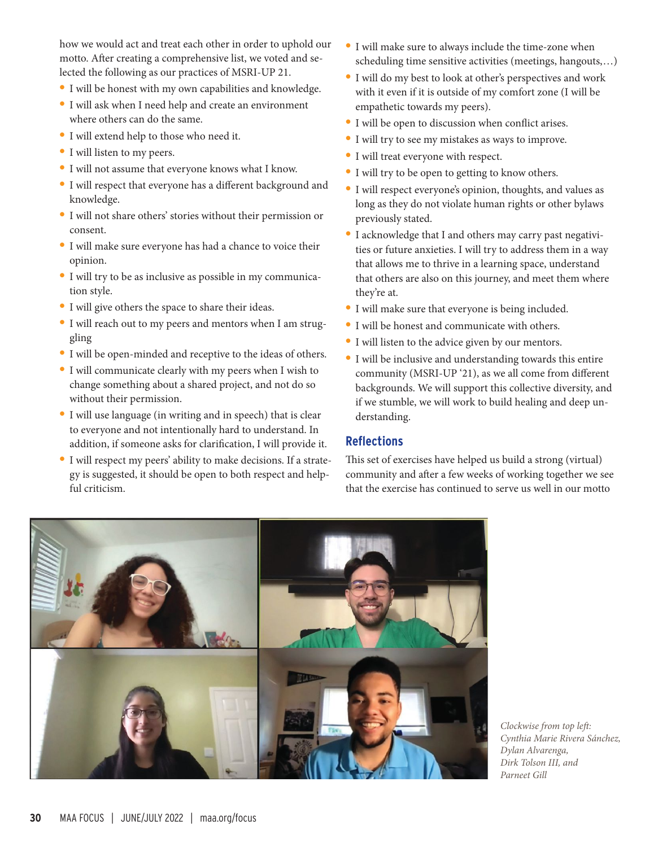how we would act and treat each other in order to uphold our motto. After creating a comprehensive list, we voted and selected the following as our practices of MSRI-UP 21.

- **•** I will be honest with my own capabilities and knowledge.
- **•** I will ask when I need help and create an environment where others can do the same.
- **•** I will extend help to those who need it.
- **•** I will listen to my peers.
- **•** I will not assume that everyone knows what I know.
- **•** I will respect that everyone has a different background and knowledge.
- **•** I will not share others' stories without their permission or consent.
- **•** I will make sure everyone has had a chance to voice their opinion.
- **•** I will try to be as inclusive as possible in my communication style.
- **•** I will give others the space to share their ideas.
- **•** I will reach out to my peers and mentors when I am struggling
- **•** I will be open-minded and receptive to the ideas of others.
- **•** I will communicate clearly with my peers when I wish to change something about a shared project, and not do so without their permission.
- **•** I will use language (in writing and in speech) that is clear to everyone and not intentionally hard to understand. In addition, if someone asks for clarification, I will provide it.
- **•** I will respect my peers' ability to make decisions. If a strategy is suggested, it should be open to both respect and helpful criticism.
- **•** I will make sure to always include the time-zone when scheduling time sensitive activities (meetings, hangouts,…)
- **•** I will do my best to look at other's perspectives and work with it even if it is outside of my comfort zone (I will be empathetic towards my peers).
- **•** I will be open to discussion when conflict arises.
- **•** I will try to see my mistakes as ways to improve.
- **•** I will treat everyone with respect.
- **•** I will try to be open to getting to know others.
- **•** I will respect everyone's opinion, thoughts, and values as long as they do not violate human rights or other bylaws previously stated.
- **•** I acknowledge that I and others may carry past negativities or future anxieties. I will try to address them in a way that allows me to thrive in a learning space, understand that others are also on this journey, and meet them where they're at.
- **•** I will make sure that everyone is being included.
- **•** I will be honest and communicate with others.
- **•** I will listen to the advice given by our mentors.
- **•** I will be inclusive and understanding towards this entire community (MSRI-UP '21), as we all come from different backgrounds. We will support this collective diversity, and if we stumble, we will work to build healing and deep understanding.

#### **Reflections**

This set of exercises have helped us build a strong (virtual) community and after a few weeks of working together we see that the exercise has continued to serve us well in our motto



Clockwise from top left: Cynthia Marie Rivera Sánchez, Dylan Alvarenga, Dirk Tolson III, and Parneet Gill